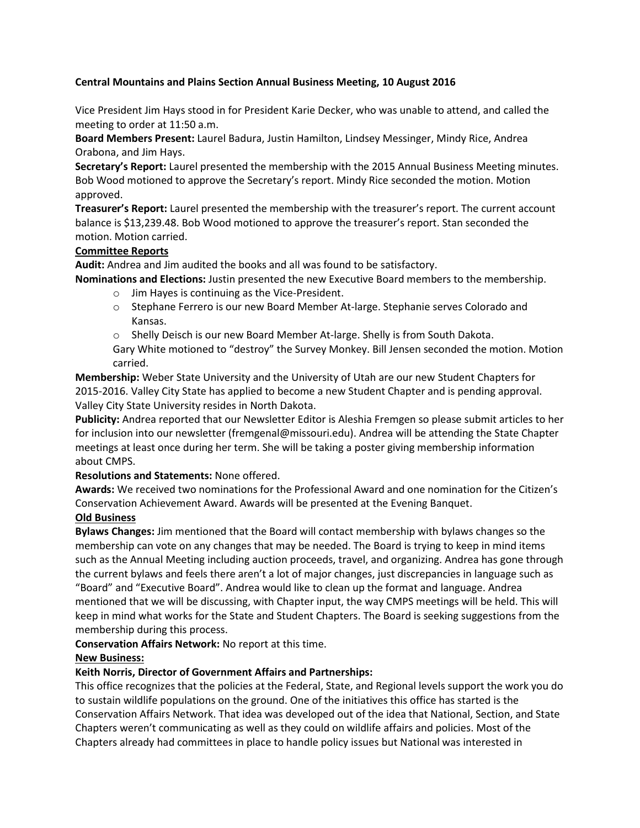# **Central Mountains and Plains Section Annual Business Meeting, 10 August 2016**

Vice President Jim Hays stood in for President Karie Decker, who was unable to attend, and called the meeting to order at 11:50 a.m.

**Board Members Present:** Laurel Badura, Justin Hamilton, Lindsey Messinger, Mindy Rice, Andrea Orabona, and Jim Hays.

**Secretary's Report:** Laurel presented the membership with the 2015 Annual Business Meeting minutes. Bob Wood motioned to approve the Secretary's report. Mindy Rice seconded the motion. Motion approved.

**Treasurer's Report:** Laurel presented the membership with the treasurer's report. The current account balance is \$13,239.48. Bob Wood motioned to approve the treasurer's report. Stan seconded the motion. Motion carried.

### **Committee Reports**

**Audit:** Andrea and Jim audited the books and all was found to be satisfactory.

**Nominations and Elections:** Justin presented the new Executive Board members to the membership.

- o Jim Hayes is continuing as the Vice-President.
- o Stephane Ferrero is our new Board Member At-large. Stephanie serves Colorado and Kansas.
- o Shelly Deisch is our new Board Member At-large. Shelly is from South Dakota.

Gary White motioned to "destroy" the Survey Monkey. Bill Jensen seconded the motion. Motion carried.

**Membership:** Weber State University and the University of Utah are our new Student Chapters for 2015-2016. Valley City State has applied to become a new Student Chapter and is pending approval. Valley City State University resides in North Dakota.

**Publicity:** Andrea reported that our Newsletter Editor is Aleshia Fremgen so please submit articles to her for inclusion into our newsletter (fremgenal@missouri.edu). Andrea will be attending the State Chapter meetings at least once during her term. She will be taking a poster giving membership information about CMPS.

### **Resolutions and Statements:** None offered.

**Awards:** We received two nominations for the Professional Award and one nomination for the Citizen's Conservation Achievement Award. Awards will be presented at the Evening Banquet.

# **Old Business**

**Bylaws Changes:** Jim mentioned that the Board will contact membership with bylaws changes so the membership can vote on any changes that may be needed. The Board is trying to keep in mind items such as the Annual Meeting including auction proceeds, travel, and organizing. Andrea has gone through the current bylaws and feels there aren't a lot of major changes, just discrepancies in language such as "Board" and "Executive Board". Andrea would like to clean up the format and language. Andrea mentioned that we will be discussing, with Chapter input, the way CMPS meetings will be held. This will keep in mind what works for the State and Student Chapters. The Board is seeking suggestions from the membership during this process.

### **Conservation Affairs Network:** No report at this time.

### **New Business:**

### **Keith Norris, Director of Government Affairs and Partnerships:**

This office recognizes that the policies at the Federal, State, and Regional levels support the work you do to sustain wildlife populations on the ground. One of the initiatives this office has started is the Conservation Affairs Network. That idea was developed out of the idea that National, Section, and State Chapters weren't communicating as well as they could on wildlife affairs and policies. Most of the Chapters already had committees in place to handle policy issues but National was interested in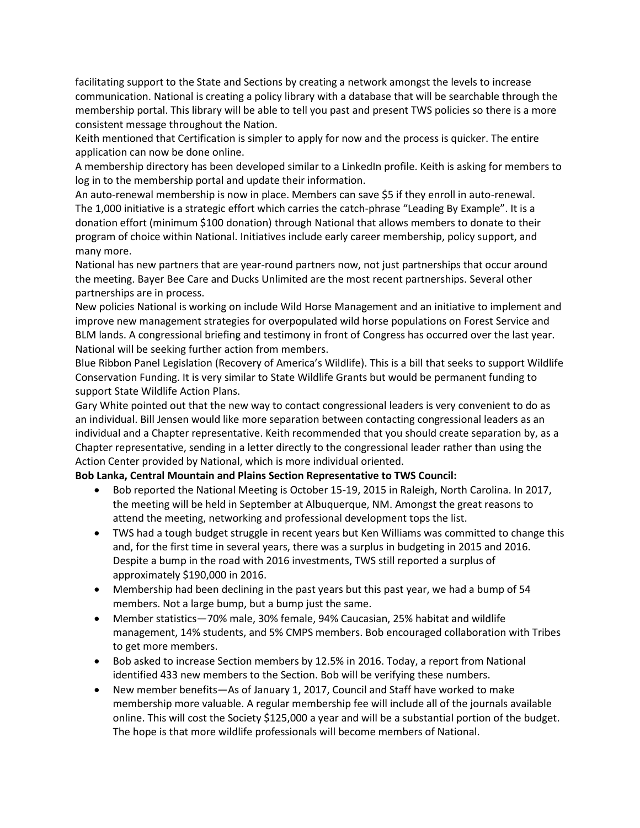facilitating support to the State and Sections by creating a network amongst the levels to increase communication. National is creating a policy library with a database that will be searchable through the membership portal. This library will be able to tell you past and present TWS policies so there is a more consistent message throughout the Nation.

Keith mentioned that Certification is simpler to apply for now and the process is quicker. The entire application can now be done online.

A membership directory has been developed similar to a LinkedIn profile. Keith is asking for members to log in to the membership portal and update their information.

An auto-renewal membership is now in place. Members can save \$5 if they enroll in auto-renewal. The 1,000 initiative is a strategic effort which carries the catch-phrase "Leading By Example". It is a donation effort (minimum \$100 donation) through National that allows members to donate to their program of choice within National. Initiatives include early career membership, policy support, and many more.

National has new partners that are year-round partners now, not just partnerships that occur around the meeting. Bayer Bee Care and Ducks Unlimited are the most recent partnerships. Several other partnerships are in process.

New policies National is working on include Wild Horse Management and an initiative to implement and improve new management strategies for overpopulated wild horse populations on Forest Service and BLM lands. A congressional briefing and testimony in front of Congress has occurred over the last year. National will be seeking further action from members.

Blue Ribbon Panel Legislation (Recovery of America's Wildlife). This is a bill that seeks to support Wildlife Conservation Funding. It is very similar to State Wildlife Grants but would be permanent funding to support State Wildlife Action Plans.

Gary White pointed out that the new way to contact congressional leaders is very convenient to do as an individual. Bill Jensen would like more separation between contacting congressional leaders as an individual and a Chapter representative. Keith recommended that you should create separation by, as a Chapter representative, sending in a letter directly to the congressional leader rather than using the Action Center provided by National, which is more individual oriented.

### **Bob Lanka, Central Mountain and Plains Section Representative to TWS Council:**

- Bob reported the National Meeting is October 15-19, 2015 in Raleigh, North Carolina. In 2017, the meeting will be held in September at Albuquerque, NM. Amongst the great reasons to attend the meeting, networking and professional development tops the list.
- TWS had a tough budget struggle in recent years but Ken Williams was committed to change this and, for the first time in several years, there was a surplus in budgeting in 2015 and 2016. Despite a bump in the road with 2016 investments, TWS still reported a surplus of approximately \$190,000 in 2016.
- Membership had been declining in the past years but this past year, we had a bump of 54 members. Not a large bump, but a bump just the same.
- Member statistics—70% male, 30% female, 94% Caucasian, 25% habitat and wildlife management, 14% students, and 5% CMPS members. Bob encouraged collaboration with Tribes to get more members.
- Bob asked to increase Section members by 12.5% in 2016. Today, a report from National identified 433 new members to the Section. Bob will be verifying these numbers.
- New member benefits—As of January 1, 2017, Council and Staff have worked to make membership more valuable. A regular membership fee will include all of the journals available online. This will cost the Society \$125,000 a year and will be a substantial portion of the budget. The hope is that more wildlife professionals will become members of National.